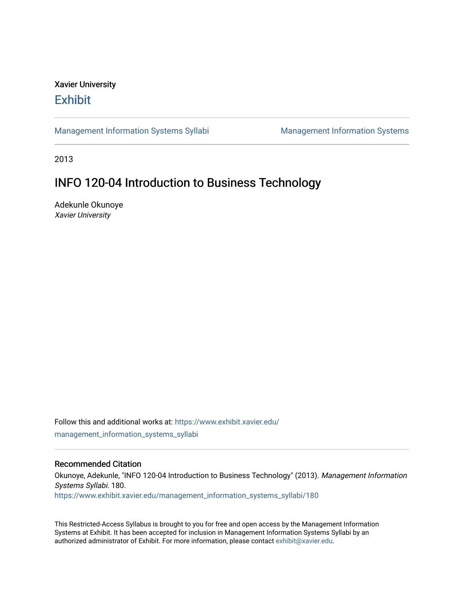# Xavier University **Exhibit**

[Management Information Systems Syllabi](https://www.exhibit.xavier.edu/management_information_systems_syllabi) Management Information Systems

2013

# INFO 120-04 Introduction to Business Technology

Adekunle Okunoye Xavier University

Follow this and additional works at: [https://www.exhibit.xavier.edu/](https://www.exhibit.xavier.edu/management_information_systems_syllabi?utm_source=www.exhibit.xavier.edu%2Fmanagement_information_systems_syllabi%2F180&utm_medium=PDF&utm_campaign=PDFCoverPages) [management\\_information\\_systems\\_syllabi](https://www.exhibit.xavier.edu/management_information_systems_syllabi?utm_source=www.exhibit.xavier.edu%2Fmanagement_information_systems_syllabi%2F180&utm_medium=PDF&utm_campaign=PDFCoverPages) 

#### Recommended Citation

Okunoye, Adekunle, "INFO 120-04 Introduction to Business Technology" (2013). Management Information Systems Syllabi. 180. [https://www.exhibit.xavier.edu/management\\_information\\_systems\\_syllabi/180](https://www.exhibit.xavier.edu/management_information_systems_syllabi/180?utm_source=www.exhibit.xavier.edu%2Fmanagement_information_systems_syllabi%2F180&utm_medium=PDF&utm_campaign=PDFCoverPages) 

This Restricted-Access Syllabus is brought to you for free and open access by the Management Information Systems at Exhibit. It has been accepted for inclusion in Management Information Systems Syllabi by an authorized administrator of Exhibit. For more information, please contact [exhibit@xavier.edu](mailto:exhibit@xavier.edu).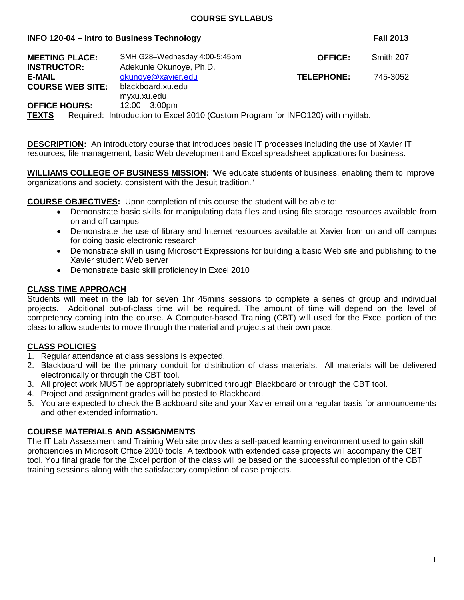#### **COURSE SYLLABUS**

#### **INFO 120-04 – Intro to Business Technology Fall 2013**

| <b>MEETING PLACE:</b>   |  | SMH G28-Wednesday 4:00-5:45pm                                                   | <b>OFFICE:</b>    | Smith 207 |  |
|-------------------------|--|---------------------------------------------------------------------------------|-------------------|-----------|--|
| <b>INSTRUCTOR:</b>      |  | Adekunle Okunoye, Ph.D.                                                         |                   |           |  |
| <b>E-MAIL</b>           |  | okunoye@xavier.edu                                                              | <b>TELEPHONE:</b> | 745-3052  |  |
| <b>COURSE WEB SITE:</b> |  | blackboard.xu.edu                                                               |                   |           |  |
|                         |  | myxu.xu.edu                                                                     |                   |           |  |
| <b>OFFICE HOURS:</b>    |  | $12:00 - 3:00 \text{pm}$                                                        |                   |           |  |
| <b>TEXTS</b>            |  | Required: Introduction to Excel 2010 (Custom Program for INFO120) with myitlab. |                   |           |  |

**DESCRIPTION:** An introductory course that introduces basic IT processes including the use of Xavier IT resources, file management, basic Web development and Excel spreadsheet applications for business.

**WILLIAMS COLLEGE OF BUSINESS MISSION:** "We educate students of business, enabling them to improve organizations and society, consistent with the Jesuit tradition."

**COURSE OBJECTIVES:** Upon completion of this course the student will be able to:

- Demonstrate basic skills for manipulating data files and using file storage resources available from on and off campus
- Demonstrate the use of library and Internet resources available at Xavier from on and off campus for doing basic electronic research
- Demonstrate skill in using Microsoft Expressions for building a basic Web site and publishing to the Xavier student Web server
- Demonstrate basic skill proficiency in Excel 2010

#### **CLASS TIME APPROACH**

Students will meet in the lab for seven 1hr 45mins sessions to complete a series of group and individual projects. Additional out-of-class time will be required. The amount of time will depend on the level of competency coming into the course. A Computer-based Training (CBT) will used for the Excel portion of the class to allow students to move through the material and projects at their own pace.

#### **CLASS POLICIES**

- 1. Regular attendance at class sessions is expected.
- 2. Blackboard will be the primary conduit for distribution of class materials. All materials will be delivered electronically or through the CBT tool.
- 3. All project work MUST be appropriately submitted through Blackboard or through the CBT tool.
- 4. Project and assignment grades will be posted to Blackboard.
- 5. You are expected to check the Blackboard site and your Xavier email on a regular basis for announcements and other extended information.

#### **COURSE MATERIALS AND ASSIGNMENTS**

The IT Lab Assessment and Training Web site provides a self-paced learning environment used to gain skill proficiencies in Microsoft Office 2010 tools. A textbook with extended case projects will accompany the CBT tool. You final grade for the Excel portion of the class will be based on the successful completion of the CBT training sessions along with the satisfactory completion of case projects.